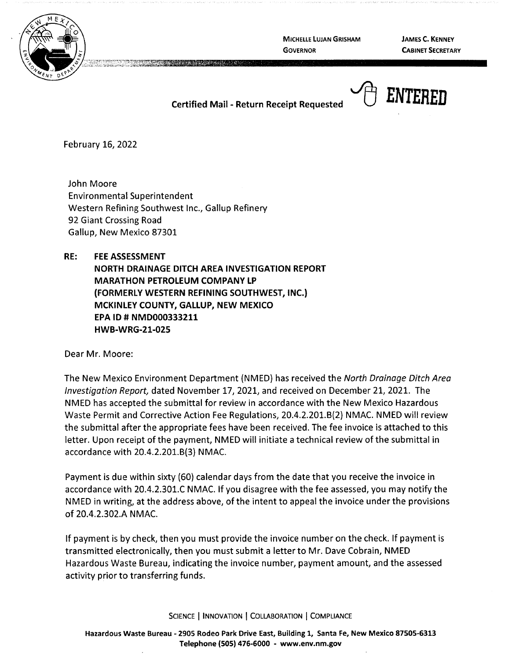

**GOVERNOR** 

**JAMES C. KENNEY CABINET SECRETARY** 

## **Certified Mail - Return Receipt Requested**



February 16, 2022

John Moore Environmental Superintendent Western Refining Southwest Inc., Gallup Refinery 92 Giant Crossing Road Gallup, New Mexico 87301

**RE: FEE ASSESSMENT** 

**NORTH DRAINAGE DITCH AREA INVESTIGATION REPORT MARATHON PETROLEUM COMPANY LP (FORMERLY WESTERN REFINING SOUTHWEST, INC.} MCKINLEY COUNTY, GALLUP, NEW MEXICO EPA ID# NMD000333211 HWB-WRG-21-025** 

Dear Mr. Moore:

The New Mexico Environment Department {NMED) has received the North Drainage Ditch Area Investigation Report, dated November 17, 2021, and received on December 21, 2021. The NMED has accepted the submittal for review in accordance with the New Mexico Hazardous Waste Permit and Corrective Action Fee Regulations, 20.4.2.201.6{2) NMAC. NMED will review the submittal after the appropriate fees have been received. The fee invoice is attached to this letter. Upon receipt of the payment, NMED will initiate a technical review of the submittal in accordance with 20.4.2.201.6{3) NMAC.

Payment is due within sixty (60) calendar days from the date that you receive the invoice in accordance with 20.4.2.301.C NMAC. If you disagree with the fee assessed, you may notify the NMED in writing, at the address above, of the intent to appeal the invoice under the provisions of 20.4.2.302.A NMAC.

If payment is by check, then you must provide the invoice number on the check. If payment is transmitted electronically, then you must submit a letter to Mr. Dave Cobrain, NMED Hazardous Waste Bureau, indicating the invoice number, payment amount, and the assessed activity prior to transferring funds.

SCIENCE | INNOVATION | COLLABORATION | COMPLIANCE

**Hazardous Waste Bureau** - **2905 Rodeo Park Drive East, Building 1, Santa Fe, New Mexico 87505-6313 Telephone (505) 476-6000** - **www.env.nm.gov**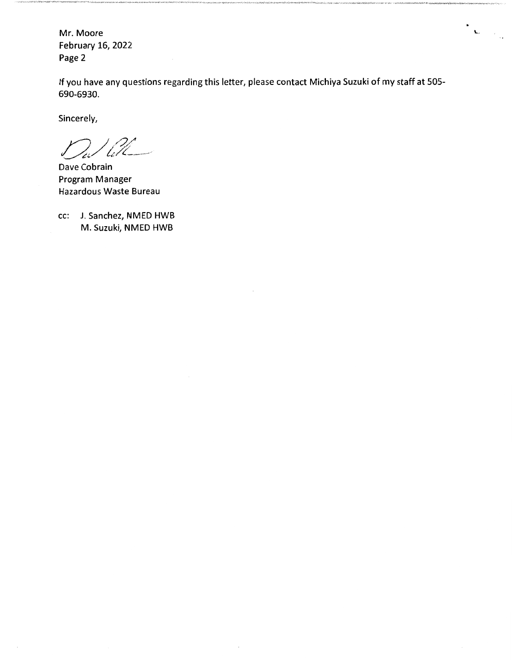Mr. Moore February 16, 2022 Page 2

If you have any questions regarding this letter, please contact Michiya Suzuki of my staff at 505- 690-6930.

 $\frac{\partial \mathbf{v}}{\partial \mathbf{u}} = \frac{1}{\sqrt{2\pi}} \mathbf{u}$ 

Sincerely,

*YJ J/2( ~:,/ !.:/~-------··* 

Dave Cobrain Program Manager Hazardous Waste Bureau

cc: J. Sanchez, NMED HWB M. Suzuki, NMED HWB